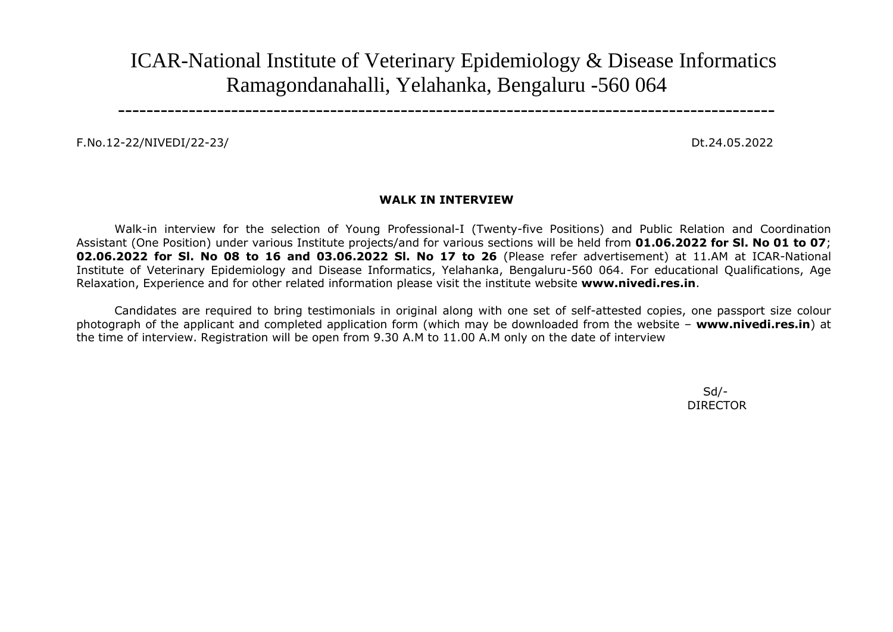ICAR-National Institute of Veterinary Epidemiology & Disease Informatics Ramagondanahalli, Yelahanka, Bengaluru -560 064

---------------------------------------------------------------------------------------------

F.No.12-22/NIVEDI/22-23/ Dt.24.05.2022

## **WALK IN INTERVIEW**

Walk-in interview for the selection of Young Professional-I (Twenty-five Positions) and Public Relation and Coordination Assistant (One Position) under various Institute projects/and for various sections will be held from **01.06.2022 for Sl. No 01 to 07**; **02.06.2022 for Sl. No 08 to 16 and 03.06.2022 Sl. No 17 to 26** (Please refer advertisement) at 11.AM at ICAR-National Institute of Veterinary Epidemiology and Disease Informatics, Yelahanka, Bengaluru-560 064. For educational Qualifications, Age Relaxation, Experience and for other related information please visit the institute website **www.nivedi.res.in**.

Candidates are required to bring testimonials in original along with one set of self-attested copies, one passport size colour photograph of the applicant and completed application form (which may be downloaded from the website – **www.nivedi.res.in**) at the time of interview. Registration will be open from 9.30 A.M to 11.00 A.M only on the date of interview

> Sd/- DIRECTOR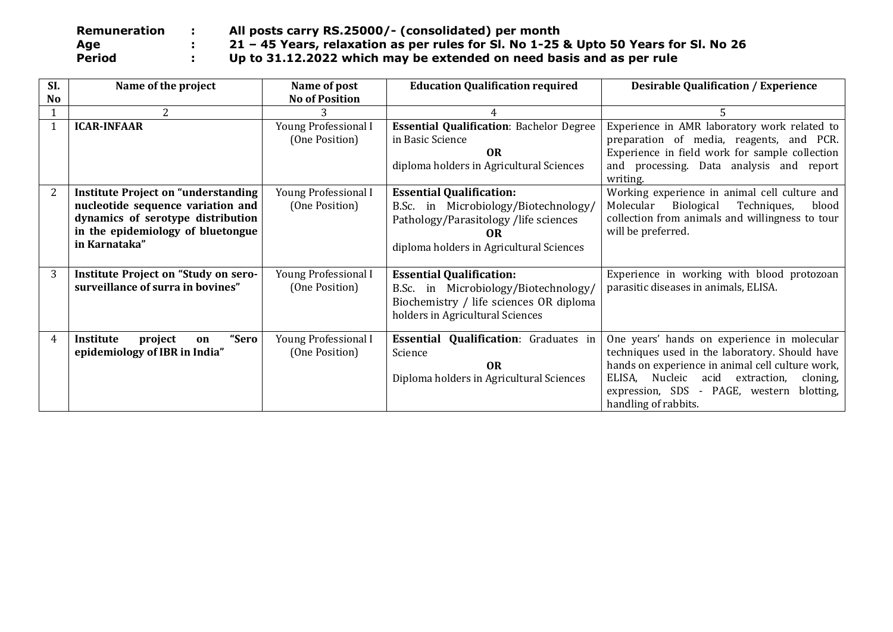| Remuneration  | All posts carry RS.25000/- (consolidated) per month                                  |
|---------------|--------------------------------------------------------------------------------------|
| Age           | 21 - 45 Years, relaxation as per rules for SI. No 1-25 & Upto 50 Years for SI. No 26 |
| <b>Period</b> | Up to 31.12.2022 which may be extended on need basis and as per rule                 |

| SI.       | Name of the project                                                                                                                                                        | Name of post                                                                                                                                                                                                            | <b>Education Qualification required</b>                                                                                                                | <b>Desirable Qualification / Experience</b>                                                                                                                                                                                                                                 |
|-----------|----------------------------------------------------------------------------------------------------------------------------------------------------------------------------|-------------------------------------------------------------------------------------------------------------------------------------------------------------------------------------------------------------------------|--------------------------------------------------------------------------------------------------------------------------------------------------------|-----------------------------------------------------------------------------------------------------------------------------------------------------------------------------------------------------------------------------------------------------------------------------|
| <b>No</b> |                                                                                                                                                                            | <b>No of Position</b>                                                                                                                                                                                                   |                                                                                                                                                        |                                                                                                                                                                                                                                                                             |
|           | 2                                                                                                                                                                          |                                                                                                                                                                                                                         |                                                                                                                                                        |                                                                                                                                                                                                                                                                             |
|           | <b>ICAR-INFAAR</b>                                                                                                                                                         | Young Professional I<br>(One Position)                                                                                                                                                                                  | <b>Essential Qualification: Bachelor Degree</b><br>in Basic Science<br>0 <sub>R</sub><br>diploma holders in Agricultural Sciences                      | Experience in AMR laboratory work related to<br>preparation of media, reagents, and PCR.<br>Experience in field work for sample collection<br>and processing. Data analysis and report<br>writing.                                                                          |
| 2         | <b>Institute Project on "understanding</b><br>nucleotide sequence variation and<br>dynamics of serotype distribution<br>in the epidemiology of bluetongue<br>in Karnataka" | Young Professional I<br><b>Essential Qualification:</b><br>(One Position)<br>B.Sc. in Microbiology/Biotechnology/<br>Pathology/Parasitology/life sciences<br>0 <sub>R</sub><br>diploma holders in Agricultural Sciences |                                                                                                                                                        | Working experience in animal cell culture and<br>Techniques,<br>Biological<br>Molecular<br>blood<br>collection from animals and willingness to tour<br>will be preferred.                                                                                                   |
| 3         | Institute Project on "Study on sero-<br>surveillance of surra in bovines"                                                                                                  | Young Professional I<br>(One Position)                                                                                                                                                                                  | <b>Essential Qualification:</b><br>B.Sc. in Microbiology/Biotechnology/<br>Biochemistry / life sciences OR diploma<br>holders in Agricultural Sciences | Experience in working with blood protozoan<br>parasitic diseases in animals, ELISA.                                                                                                                                                                                         |
| 4         | "Sero<br>Institute<br>project<br>on<br>epidemiology of IBR in India"                                                                                                       | Young Professional I<br>(One Position)                                                                                                                                                                                  | <b>Essential Qualification:</b> Graduates in<br>Science<br><b>OR</b><br>Diploma holders in Agricultural Sciences                                       | One years' hands on experience in molecular<br>techniques used in the laboratory. Should have<br>hands on experience in animal cell culture work,<br>ELISA, Nucleic<br>acid extraction,<br>cloning,<br>expression, SDS - PAGE, western<br>blotting,<br>handling of rabbits. |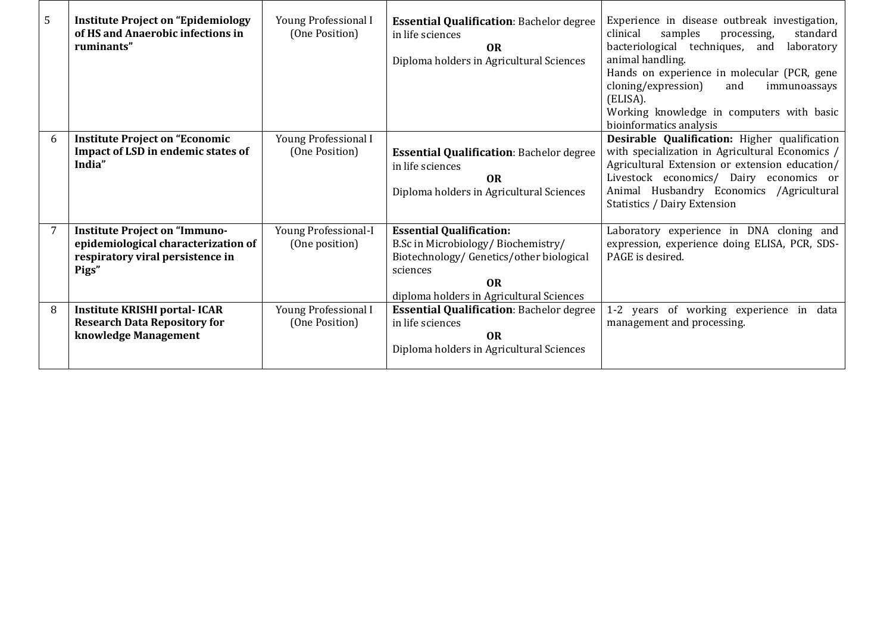| 5 | <b>Institute Project on "Epidemiology</b><br>of HS and Anaerobic infections in<br>ruminants"                             | Young Professional I<br><b>Essential Qualification: Bachelor degree</b><br>(One Position)<br>in life sciences<br><b>OR</b><br>Diploma holders in Agricultural Sciences |                                                                                                                                                                                             | Experience in disease outbreak investigation,<br>clinical<br>samples<br>standard<br>processing,<br>bacteriological techniques, and<br>laboratory<br>animal handling.<br>Hands on experience in molecular (PCR, gene<br>cloning/expression)<br>and<br>immunoassays<br>(ELISA).<br>Working knowledge in computers with basic<br>bioinformatics analysis |
|---|--------------------------------------------------------------------------------------------------------------------------|------------------------------------------------------------------------------------------------------------------------------------------------------------------------|---------------------------------------------------------------------------------------------------------------------------------------------------------------------------------------------|-------------------------------------------------------------------------------------------------------------------------------------------------------------------------------------------------------------------------------------------------------------------------------------------------------------------------------------------------------|
| 6 | <b>Institute Project on "Economic</b><br>Impact of LSD in endemic states of<br>India"                                    | Young Professional I<br>(One Position)                                                                                                                                 | <b>Essential Qualification: Bachelor degree</b><br>in life sciences<br><b>OR</b><br>Diploma holders in Agricultural Sciences                                                                | Desirable Qualification: Higher qualification<br>with specialization in Agricultural Economics /<br>Agricultural Extension or extension education/<br>Livestock economics/ Dairy economics or<br>Animal Husbandry Economics<br>/Agricultural<br><b>Statistics / Dairy Extension</b>                                                                   |
| 7 | <b>Institute Project on "Immuno-</b><br>epidemiological characterization of<br>respiratory viral persistence in<br>Pigs" | <b>Young Professional-I</b><br>(One position)                                                                                                                          | <b>Essential Qualification:</b><br>B.Sc in Microbiology/Biochemistry/<br>Biotechnology/ Genetics/other biological<br>sciences<br>0 <sub>R</sub><br>diploma holders in Agricultural Sciences | Laboratory experience in DNA cloning and<br>expression, experience doing ELISA, PCR, SDS-<br>PAGE is desired.                                                                                                                                                                                                                                         |
| 8 | <b>Institute KRISHI portal-ICAR</b><br><b>Research Data Repository for</b><br>knowledge Management                       | Young Professional I<br>(One Position)                                                                                                                                 | <b>Essential Qualification: Bachelor degree</b><br>in life sciences<br><b>OR</b><br>Diploma holders in Agricultural Sciences                                                                | 1-2 years of working experience in data<br>management and processing.                                                                                                                                                                                                                                                                                 |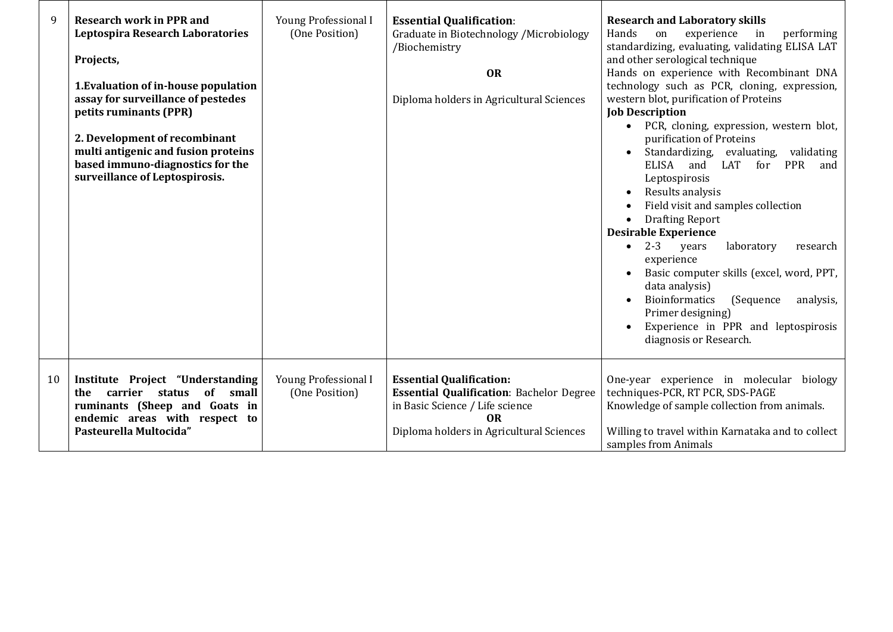| 9  | <b>Research work in PPR and</b><br><b>Leptospira Research Laboratories</b><br>Projects,<br>1. Evaluation of in-house population<br>assay for surveillance of pestedes<br>petits ruminants (PPR)<br>2. Development of recombinant<br>multi antigenic and fusion proteins<br>based immuno-diagnostics for the<br>surveillance of Leptospirosis. | Young Professional I<br>(One Position) | <b>Essential Qualification:</b><br>Graduate in Biotechnology / Microbiology<br>/Biochemistry<br><b>OR</b><br>Diploma holders in Agricultural Sciences                               | <b>Research and Laboratory skills</b><br>Hands<br>on<br>experience<br>performing<br>in<br>standardizing, evaluating, validating ELISA LAT<br>and other serological technique<br>Hands on experience with Recombinant DNA<br>technology such as PCR, cloning, expression,<br>western blot, purification of Proteins<br><b>Job Description</b><br>PCR, cloning, expression, western blot,<br>$\bullet$<br>purification of Proteins<br>Standardizing, evaluating,<br>validating<br>ELISA<br>LAT<br>for<br><b>PPR</b><br>and<br>and<br>Leptospirosis<br>Results analysis<br>$\bullet$<br>Field visit and samples collection<br>$\bullet$<br><b>Drafting Report</b><br>$\bullet$<br><b>Desirable Experience</b><br>$2 - 3$<br>years<br>laboratory<br>research<br>$\bullet$<br>experience<br>Basic computer skills (excel, word, PPT,<br>data analysis)<br><b>Bioinformatics</b><br>(Sequence<br>analysis,<br>$\bullet$<br>Primer designing)<br>Experience in PPR and leptospirosis<br>diagnosis or Research. |
|----|-----------------------------------------------------------------------------------------------------------------------------------------------------------------------------------------------------------------------------------------------------------------------------------------------------------------------------------------------|----------------------------------------|-------------------------------------------------------------------------------------------------------------------------------------------------------------------------------------|---------------------------------------------------------------------------------------------------------------------------------------------------------------------------------------------------------------------------------------------------------------------------------------------------------------------------------------------------------------------------------------------------------------------------------------------------------------------------------------------------------------------------------------------------------------------------------------------------------------------------------------------------------------------------------------------------------------------------------------------------------------------------------------------------------------------------------------------------------------------------------------------------------------------------------------------------------------------------------------------------------|
| 10 | Institute Project "Understanding<br>of small<br>carrier status<br>the<br>ruminants (Sheep and Goats in<br>endemic areas with respect to<br>Pasteurella Multocida"                                                                                                                                                                             | Young Professional I<br>(One Position) | <b>Essential Qualification:</b><br><b>Essential Qualification: Bachelor Degree</b><br>in Basic Science / Life science<br>0 <sub>R</sub><br>Diploma holders in Agricultural Sciences | One-year experience in molecular biology<br>techniques-PCR, RT PCR, SDS-PAGE<br>Knowledge of sample collection from animals.<br>Willing to travel within Karnataka and to collect<br>samples from Animals                                                                                                                                                                                                                                                                                                                                                                                                                                                                                                                                                                                                                                                                                                                                                                                               |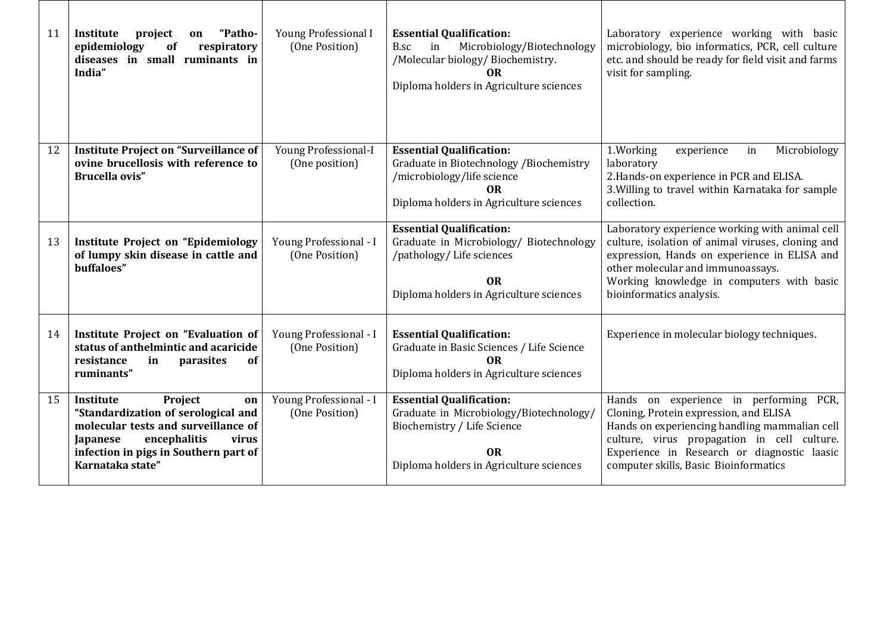| 11 | "Patho-<br>Institute<br>project<br>on<br>epidemiology<br>respiratory<br>of<br>diseases in small ruminants in<br>India"                                                                                                                                 | Young Professional I<br>(One Position)        | <b>Essential Qualification:</b><br>Microbiology/Biotechnology<br>B.sc<br>in<br>/Molecular biology/ Biochemistry.<br><b>OR</b><br>Diploma holders in Agriculture sciences | Laboratory experience working with basic<br>microbiology, bio informatics, PCR, cell culture<br>etc. and should be ready for field visit and farms<br>visit for sampling.                                                                                                   |  |
|----|--------------------------------------------------------------------------------------------------------------------------------------------------------------------------------------------------------------------------------------------------------|-----------------------------------------------|--------------------------------------------------------------------------------------------------------------------------------------------------------------------------|-----------------------------------------------------------------------------------------------------------------------------------------------------------------------------------------------------------------------------------------------------------------------------|--|
| 12 | <b>Institute Project on "Surveillance of</b><br>ovine brucellosis with reference to<br><b>Brucella ovis"</b>                                                                                                                                           | <b>Young Professional-I</b><br>(One position) | <b>Essential Qualification:</b><br>Graduate in Biotechnology / Biochemistry<br>/microbiology/life science<br><b>OR</b><br>Diploma holders in Agriculture sciences        | 1.Working<br>Microbiology<br>experience<br>in<br>laboratory<br>2. Hands-on experience in PCR and ELISA.<br>3. Willing to travel within Karnataka for sample<br>collection.                                                                                                  |  |
| 13 | <b>Institute Project on "Epidemiology</b><br>of lumpy skin disease in cattle and<br>buffaloes"                                                                                                                                                         | Young Professional - I<br>(One Position)      | <b>Essential Qualification:</b><br>Graduate in Microbiology/ Biotechnology<br>/pathology/ Life sciences<br><b>OR</b><br>Diploma holders in Agriculture sciences          | Laboratory experience working with animal cell<br>culture, isolation of animal viruses, cloning and<br>expression, Hands on experience in ELISA and<br>other molecular and immunoassays.<br>Working knowledge in computers with basic<br>bioinformatics analysis.           |  |
| 14 | Institute Project on "Evaluation of<br>status of anthelmintic and acaricide<br>of<br>resistance<br>parasites<br>in<br>ruminants"                                                                                                                       | Young Professional - I<br>(One Position)      | <b>Essential Qualification:</b><br>Graduate in Basic Sciences / Life Science<br><b>OR</b><br>Diploma holders in Agriculture sciences                                     | Experience in molecular biology techniques.                                                                                                                                                                                                                                 |  |
| 15 | Project<br>Young Professional - I<br>Institute<br>on<br>"Standardization of serological and<br>(One Position)<br>molecular tests and surveillance of<br>encephalitis<br>Japanese<br>virus<br>infection in pigs in Southern part of<br>Karnataka state" |                                               | <b>Essential Qualification:</b><br>Graduate in Microbiology/Biotechnology/<br>Biochemistry / Life Science<br><b>OR</b><br>Diploma holders in Agriculture sciences        | Hands on experience in performing<br>PCR.<br>Cloning, Protein expression, and ELISA<br>Hands on experiencing handling mammalian cell<br>culture, virus propagation in cell culture.<br>Experience in Research or diagnostic laasic<br>computer skills, Basic Bioinformatics |  |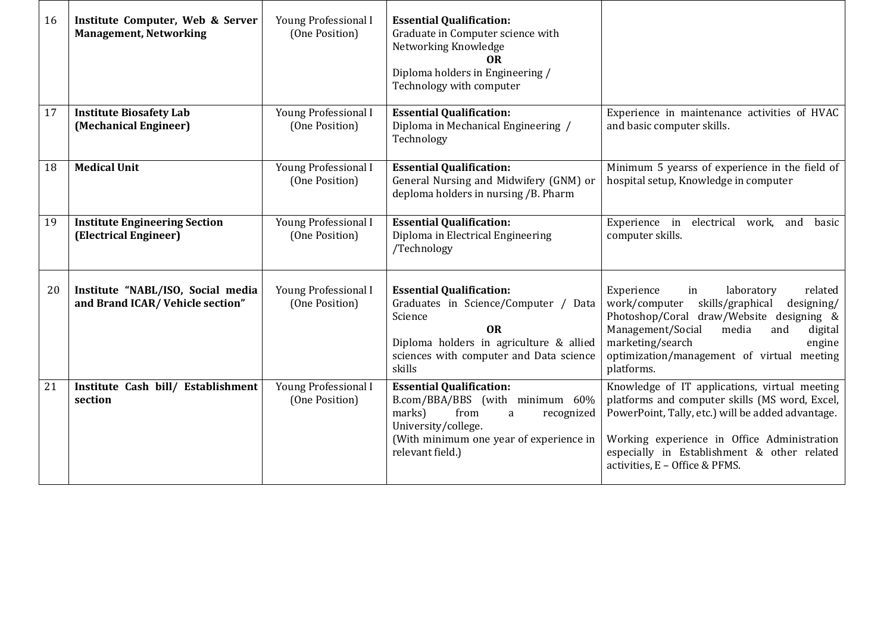| 16 | Institute Computer, Web & Server<br><b>Management, Networking</b>    | Young Professional I<br>(One Position)                                                                                         | <b>Essential Qualification:</b><br>Graduate in Computer science with<br>Networking Knowledge<br><b>OR</b><br>Diploma holders in Engineering /<br>Technology with computer                       |                                                                                                                                                                                                                                                                                      |  |
|----|----------------------------------------------------------------------|--------------------------------------------------------------------------------------------------------------------------------|-------------------------------------------------------------------------------------------------------------------------------------------------------------------------------------------------|--------------------------------------------------------------------------------------------------------------------------------------------------------------------------------------------------------------------------------------------------------------------------------------|--|
| 17 | <b>Institute Biosafety Lab</b><br>(Mechanical Engineer)              | Young Professional I<br><b>Essential Qualification:</b><br>Diploma in Mechanical Engineering /<br>(One Position)<br>Technology |                                                                                                                                                                                                 | Experience in maintenance activities of HVAC<br>and basic computer skills.                                                                                                                                                                                                           |  |
| 18 | <b>Medical Unit</b>                                                  | Young Professional I<br>(One Position)                                                                                         | <b>Essential Qualification:</b><br>General Nursing and Midwifery (GNM) or<br>deploma holders in nursing /B. Pharm                                                                               | Minimum 5 yearss of experience in the field of<br>hospital setup, Knowledge in computer                                                                                                                                                                                              |  |
| 19 | <b>Institute Engineering Section</b><br>(Electrical Engineer)        | Young Professional I<br>(One Position)                                                                                         | <b>Essential Qualification:</b><br>Experience in<br>electrical work, and<br>Diploma in Electrical Engineering<br>computer skills.<br>/Technology                                                |                                                                                                                                                                                                                                                                                      |  |
| 20 | Institute "NABL/ISO, Social media<br>and Brand ICAR/Vehicle section" | Young Professional I<br>(One Position)                                                                                         | <b>Essential Qualification:</b><br>Graduates in Science/Computer / Data<br>Science<br><b>OR</b><br>Diploma holders in agriculture & allied<br>sciences with computer and Data science<br>skills | Experience<br>laboratory<br>related<br>in<br>work/computer<br>skills/graphical<br>designing/<br>Photoshop/Coral draw/Website designing &<br>Management/Social<br>media<br>digital<br>and<br>marketing/search<br>engine<br>optimization/management of virtual meeting<br>platforms.   |  |
| 21 | Institute Cash bill/ Establishment<br>section                        | Young Professional I<br>(One Position)                                                                                         | <b>Essential Qualification:</b><br>B.com/BBA/BBS (with minimum 60%<br>marks)<br>from<br>recognized<br>a<br>University/college.<br>(With minimum one year of experience in<br>relevant field.)   | Knowledge of IT applications, virtual meeting<br>platforms and computer skills (MS word, Excel,<br>PowerPoint, Tally, etc.) will be added advantage.<br>Working experience in Office Administration<br>especially in Establishment & other related<br>activities, E - Office & PFMS. |  |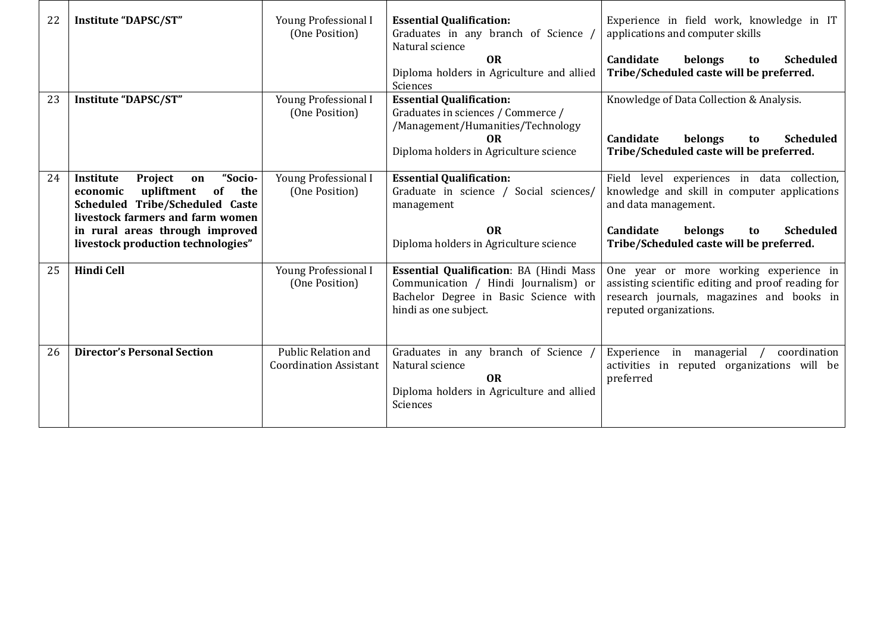| 22 | Institute "DAPSC/ST"                                                                                                                                                                                                             | Young Professional I<br>(One Position)                                                                                                                                                   | <b>Essential Qualification:</b><br>Graduates in any branch of Science<br>Natural science<br><b>OR</b><br>Diploma holders in Agriculture and allied<br>Sciences    | Experience in field work, knowledge in IT<br>applications and computer skills<br>Candidate<br>belongs<br><b>Scheduled</b><br>to<br>Tribe/Scheduled caste will be preferred.                                       |  |
|----|----------------------------------------------------------------------------------------------------------------------------------------------------------------------------------------------------------------------------------|------------------------------------------------------------------------------------------------------------------------------------------------------------------------------------------|-------------------------------------------------------------------------------------------------------------------------------------------------------------------|-------------------------------------------------------------------------------------------------------------------------------------------------------------------------------------------------------------------|--|
| 23 | Institute "DAPSC/ST"                                                                                                                                                                                                             | Young Professional I<br>(One Position)                                                                                                                                                   | <b>Essential Qualification:</b><br>Graduates in sciences / Commerce /<br>/Management/Humanities/Technology<br><b>OR</b><br>Diploma holders in Agriculture science | Knowledge of Data Collection & Analysis.<br>Candidate<br>belongs<br><b>Scheduled</b><br>to<br>Tribe/Scheduled caste will be preferred.                                                                            |  |
| 24 | "Socio-<br><b>Institute</b><br>Project<br>on<br>upliftment of<br>the<br>economic<br>Scheduled Tribe/Scheduled Caste<br>livestock farmers and farm women<br>in rural areas through improved<br>livestock production technologies" | Young Professional I<br><b>Essential Qualification:</b><br>(One Position)<br>Graduate in science / Social sciences/<br>management<br><b>OR</b><br>Diploma holders in Agriculture science |                                                                                                                                                                   | Field level experiences in data collection,<br>knowledge and skill in computer applications<br>and data management.<br>Candidate<br>belongs<br><b>Scheduled</b><br>to<br>Tribe/Scheduled caste will be preferred. |  |
| 25 | <b>Hindi Cell</b>                                                                                                                                                                                                                | Young Professional I<br>(One Position)                                                                                                                                                   | <b>Essential Qualification: BA (Hindi Mass</b><br>Communication / Hindi Journalism) or<br>Bachelor Degree in Basic Science with<br>hindi as one subject.          | One year or more working experience in<br>assisting scientific editing and proof reading for<br>research journals, magazines and books in<br>reputed organizations.                                               |  |
| 26 | <b>Director's Personal Section</b>                                                                                                                                                                                               | <b>Public Relation and</b><br><b>Coordination Assistant</b>                                                                                                                              | Graduates in any branch of Science /<br>Natural science                                                                                                           | Experience<br>in managerial<br>coordination<br>activities in reputed organizations will be<br>preferred                                                                                                           |  |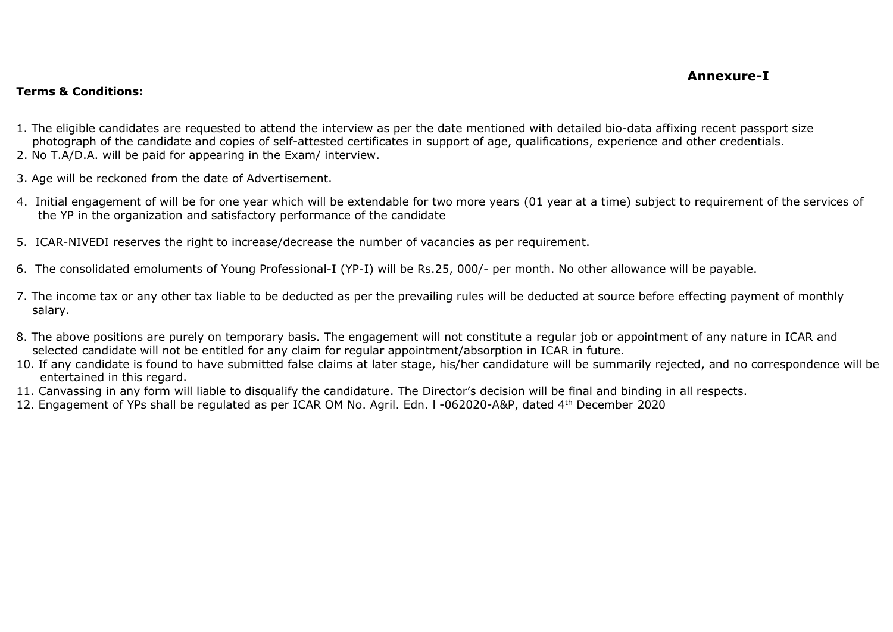## **Annexure-I**

## **Terms & Conditions:**

- 1. The eligible candidates are requested to attend the interview as per the date mentioned with detailed bio-data affixing recent passport size photograph of the candidate and copies of self-attested certificates in support of age, qualifications, experience and other credentials.
- 2. No T.A/D.A. will be paid for appearing in the Exam/ interview.
- 3. Age will be reckoned from the date of Advertisement.
- 4. Initial engagement of will be for one year which will be extendable for two more years (01 year at a time) subject to requirement of the services of the YP in the organization and satisfactory performance of the candidate
- 5. ICAR-NIVEDI reserves the right to increase/decrease the number of vacancies as per requirement.
- 6. The consolidated emoluments of Young Professional-I (YP-I) will be Rs.25, 000/- per month. No other allowance will be payable.
- 7. The income tax or any other tax liable to be deducted as per the prevailing rules will be deducted at source before effecting payment of monthly salary.
- 8. The above positions are purely on temporary basis. The engagement will not constitute a regular job or appointment of any nature in ICAR and selected candidate will not be entitled for any claim for regular appointment/absorption in ICAR in future.
- 10. If any candidate is found to have submitted false claims at later stage, his/her candidature will be summarily rejected, and no correspondence will be entertained in this regard.
- 11. Canvassing in any form will liable to disqualify the candidature. The Director's decision will be final and binding in all respects.
- 12. Engagement of YPs shall be regulated as per ICAR OM No. Agril. Edn. l -062020-A&P, dated 4th December 2020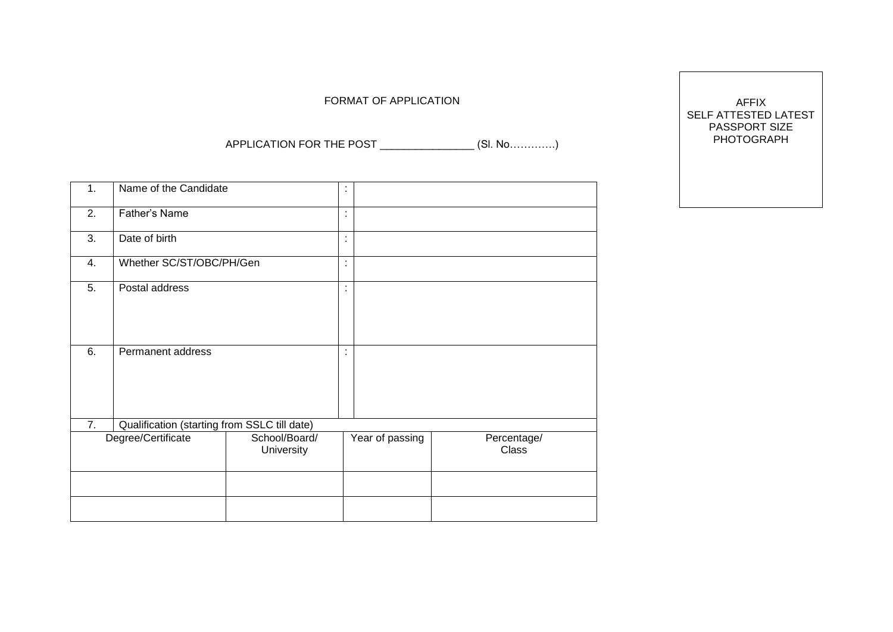FORMAT OF APPLICATION

APPLICATION FOR THE POST \_\_\_\_\_\_\_\_\_\_\_\_\_\_\_\_ (Sl. No………….)

| 1.                 | Name of the Candidate                        |                             | $\overline{\phantom{a}}$ |                 |                             |
|--------------------|----------------------------------------------|-----------------------------|--------------------------|-----------------|-----------------------------|
| 2.                 | Father's Name                                |                             | $\blacksquare$           |                 |                             |
| 3.                 | Date of birth                                |                             | $\blacksquare$<br>٠      |                 |                             |
| 4.                 | Whether SC/ST/OBC/PH/Gen                     |                             | $\blacksquare$<br>٠      |                 |                             |
| 5.                 | Postal address                               |                             | ٠<br>٠                   |                 |                             |
| 6.                 | Permanent address                            |                             | ٠                        |                 |                             |
| 7.                 | Qualification (starting from SSLC till date) |                             |                          |                 |                             |
| Degree/Certificate |                                              | School/Board/<br>University |                          | Year of passing | Percentage/<br><b>Class</b> |
|                    |                                              |                             |                          |                 |                             |
|                    |                                              |                             |                          |                 |                             |

AFFIX SELF ATTESTED LATEST PASSPORT SIZE PHOTOGRAPH